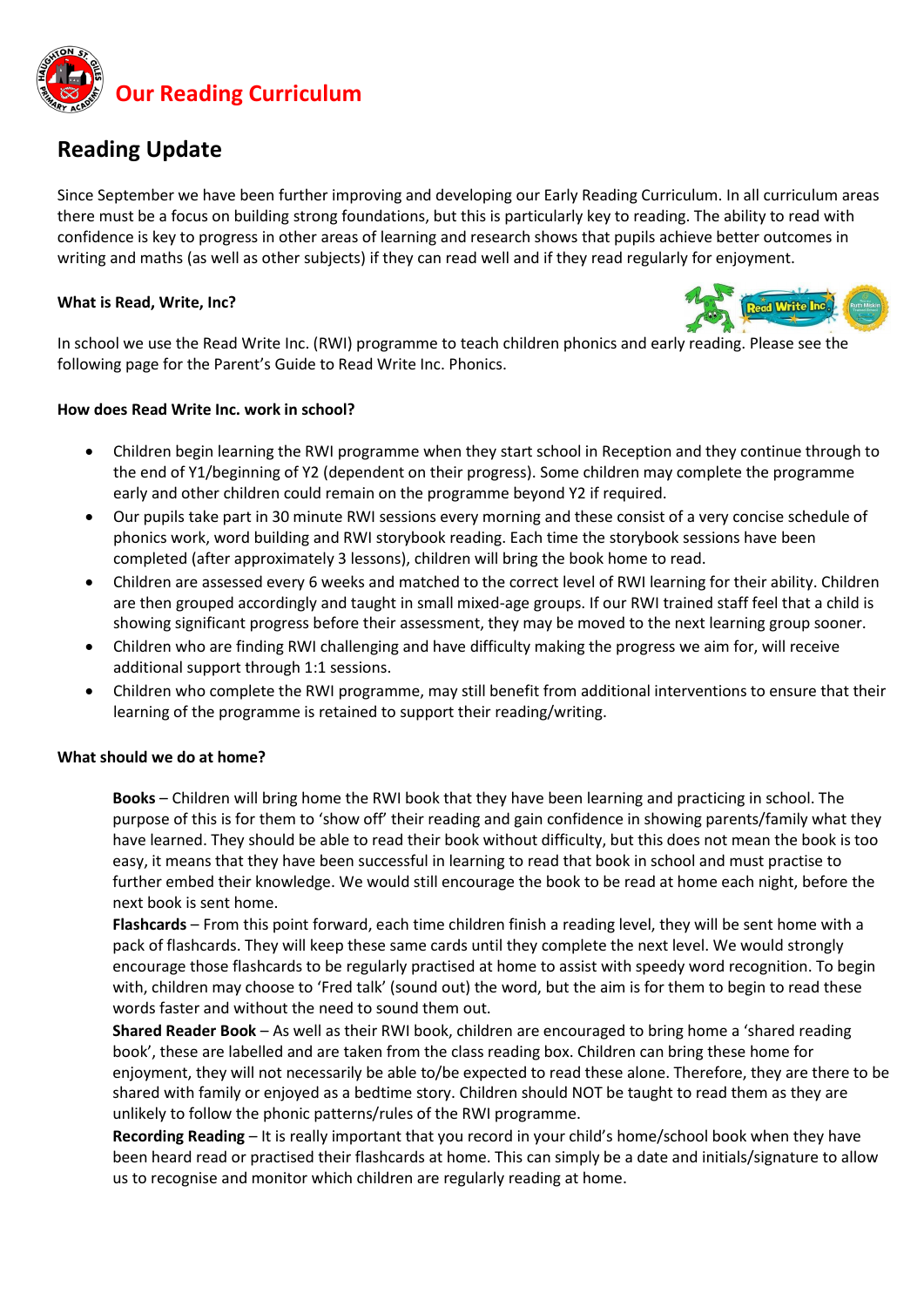

## **Reading Update**

Since September we have been further improving and developing our Early Reading Curriculum. In all curriculum areas there must be a focus on building strong foundations, but this is particularly key to reading. The ability to read with confidence is key to progress in other areas of learning and research shows that pupils achieve better outcomes in writing and maths (as well as other subjects) if they can read well and if they read regularly for enjoyment.

### **What is Read, Write, Inc?**



In school we use the Read Write Inc. (RWI) programme to teach children phonics and early reading. Please see the following page for the Parent's Guide to Read Write Inc. Phonics.

#### **How does Read Write Inc. work in school?**

- Children begin learning the RWI programme when they start school in Reception and they continue through to the end of Y1/beginning of Y2 (dependent on their progress). Some children may complete the programme early and other children could remain on the programme beyond Y2 if required.
- Our pupils take part in 30 minute RWI sessions every morning and these consist of a very concise schedule of phonics work, word building and RWI storybook reading. Each time the storybook sessions have been completed (after approximately 3 lessons), children will bring the book home to read.
- Children are assessed every 6 weeks and matched to the correct level of RWI learning for their ability. Children are then grouped accordingly and taught in small mixed-age groups. If our RWI trained staff feel that a child is showing significant progress before their assessment, they may be moved to the next learning group sooner.
- Children who are finding RWI challenging and have difficulty making the progress we aim for, will receive additional support through 1:1 sessions.
- Children who complete the RWI programme, may still benefit from additional interventions to ensure that their learning of the programme is retained to support their reading/writing.

#### **What should we do at home?**

**Books** – Children will bring home the RWI book that they have been learning and practicing in school. The purpose of this is for them to 'show off' their reading and gain confidence in showing parents/family what they have learned. They should be able to read their book without difficulty, but this does not mean the book is too easy, it means that they have been successful in learning to read that book in school and must practise to further embed their knowledge. We would still encourage the book to be read at home each night, before the next book is sent home.

**Flashcards** – From this point forward, each time children finish a reading level, they will be sent home with a pack of flashcards. They will keep these same cards until they complete the next level. We would strongly encourage those flashcards to be regularly practised at home to assist with speedy word recognition. To begin with, children may choose to 'Fred talk' (sound out) the word, but the aim is for them to begin to read these words faster and without the need to sound them out.

**Shared Reader Book** – As well as their RWI book, children are encouraged to bring home a 'shared reading book', these are labelled and are taken from the class reading box. Children can bring these home for enjoyment, they will not necessarily be able to/be expected to read these alone. Therefore, they are there to be shared with family or enjoyed as a bedtime story. Children should NOT be taught to read them as they are unlikely to follow the phonic patterns/rules of the RWI programme.

**Recording Reading** – It is really important that you record in your child's home/school book when they have been heard read or practised their flashcards at home. This can simply be a date and initials/signature to allow us to recognise and monitor which children are regularly reading at home.